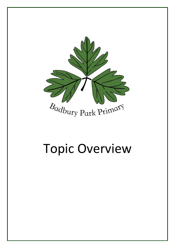

## Topic Overview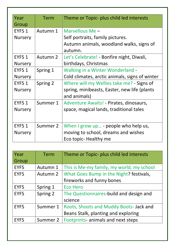| Year           | <b>Term</b> | Theme or Topic- plus child led interests       |
|----------------|-------------|------------------------------------------------|
| Group          |             |                                                |
| EYFS 1         | Autumn 1    | Marvellous Me -                                |
| <b>Nursery</b> |             | Self portraits, family pictures.               |
|                |             | Autumn animals, woodland walks, signs of       |
|                |             | autumn.                                        |
| EYFS 1         | Autumn 2    | Let's Celebrate! - Bonfire night, Diwali,      |
| <b>Nursery</b> |             | birthdays, Christmas                           |
| EYFS 1         | Spring 1    | Walking in a Winter Wonderland -               |
| <b>Nursery</b> |             | Cold climates, arctic animals, signs of winter |
| EYFS 1         | Spring 2    | Where will my Wellies take me? - Signs of      |
| <b>Nursery</b> |             | spring, minibeasts, Easter, new life (plants   |
|                |             | and animals)                                   |
| EYFS 1         | Summer 1    | Adventure Awaits! - Pirates, dinosaurs,        |
| <b>Nursery</b> |             | space, magical lands, traditional tales        |
|                |             |                                                |
| EYFS 1         | Summer 2    | When I grow up - people who help us,           |
| <b>Nursery</b> |             | moving to school, dreams and wishes            |
|                |             | Eco topic- Healthy me                          |
|                |             |                                                |

| Year        | <b>Term</b> | Theme or Topic- plus child led interests  |
|-------------|-------------|-------------------------------------------|
| Group       |             |                                           |
| <b>EYFS</b> | Autumn 1    | This is Me-my family, my world, my school |
| <b>EYFS</b> | Autumn 2    | What Goes Bump in the Night? festivals,   |
|             |             | fireworks and funny bones                 |
| <b>EYFS</b> | Spring 1    | <b>Eco Hero</b>                           |
| <b>EYFS</b> | Spring 2    | The Questionnaires-build and design and   |
|             |             | science                                   |
| <b>EYFS</b> | Summer 1    | Roots, Shoots and Muddy Boots- Jack and   |
|             |             | Beans Stalk, planting and exploring       |
| <b>EYFS</b> | Summer 2    | Footprints- animals and next steps        |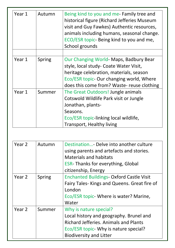| Year 1 | Autumn        | Being kind to you and me- Family tree and<br>historical figure (Richard Jefferies Museum<br>visit and Guy Fawkes) Authentic resources,<br>animals including humans, seasonal change. |
|--------|---------------|--------------------------------------------------------------------------------------------------------------------------------------------------------------------------------------|
|        |               | ECO/ESR topic- Being kind to you and me,<br>School grounds                                                                                                                           |
|        |               |                                                                                                                                                                                      |
| Year 1 | <b>Spring</b> | Our Changing World- Maps, Badbury Bear<br>style, local study- Coate Water Visit,                                                                                                     |
|        |               | heritage celebration, materials, season                                                                                                                                              |
|        |               | Eco/ESR topic- Our changing world, Where                                                                                                                                             |
|        |               | does this come from? Waste- reuse clothing                                                                                                                                           |
| Year 1 | Summer        | The Great Outdoors! Jungle animals                                                                                                                                                   |
|        |               | Cotswold Wildlife Park visit or Jungle                                                                                                                                               |
|        |               | Jonathan, plants-                                                                                                                                                                    |
|        |               | Seasons.                                                                                                                                                                             |
|        |               | Eco/ESR topic-linking local wildlife,                                                                                                                                                |
|        |               | <b>Transport, Healthy living</b>                                                                                                                                                     |

| Year 2 | Autumn        | Destination- Delve into another culture<br>using parents and artefacts and stories.<br><b>Materials and habitats</b><br><b>ESR-Thanks for everything, Global</b><br>citizenship, Energy      |
|--------|---------------|----------------------------------------------------------------------------------------------------------------------------------------------------------------------------------------------|
| Year 2 | <b>Spring</b> | <b>Enchanted Buildings- Oxford Castle Visit</b><br>Fairy Tales-Kings and Queens. Great fire of<br>London<br>Eco/ESR topic- Where is water? Marine,<br>Water                                  |
| Year 2 | Summer        | Why is nature special?<br>Local history and geography. Brunel and<br><b>Richard Jefferies. Animals and Plants</b><br>Eco/ESR topic- Why is nature special?<br><b>Biodiversity and Litter</b> |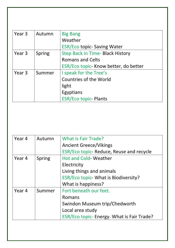| Year 3 | Autumn        | <b>Big Bang</b>                         |
|--------|---------------|-----------------------------------------|
|        |               | Weather                                 |
|        |               | <b>ESR/Eco topic- Saving Water</b>      |
| Year 3 | <b>Spring</b> | <b>Step Back in Time- Black History</b> |
|        |               | <b>Romans and Celts</b>                 |
|        |               | ESR/Eco topic- Know better, do better   |
| Year 3 | Summer        | I speak for the Tree's                  |
|        |               | <b>Countries of the World</b>           |
|        |               | light                                   |
|        |               | Egyptians                               |
|        |               | <b>ESR/Eco topic- Plants</b>            |

| Year 4 | Autumn | <b>What is Fair Trade?</b>                 |
|--------|--------|--------------------------------------------|
|        |        | <b>Ancient Greece/Vikings</b>              |
|        |        | ESR/Eco topic- Reduce, Reuse and recycle   |
| Year 4 | Spring | <b>Hot and Cold- Weather</b>               |
|        |        | Electricity                                |
|        |        | Living things and animals                  |
|        |        | ESR/Eco topic- What is Biodiversity?       |
|        |        | What is happiness?                         |
| Year 4 | Summer | Fort beneath our feet.                     |
|        |        | Romans                                     |
|        |        | Swindon Museum trip/Chedworth              |
|        |        | Local area study                           |
|        |        | ESR/Eco topic- Energy. What is Fair Trade? |